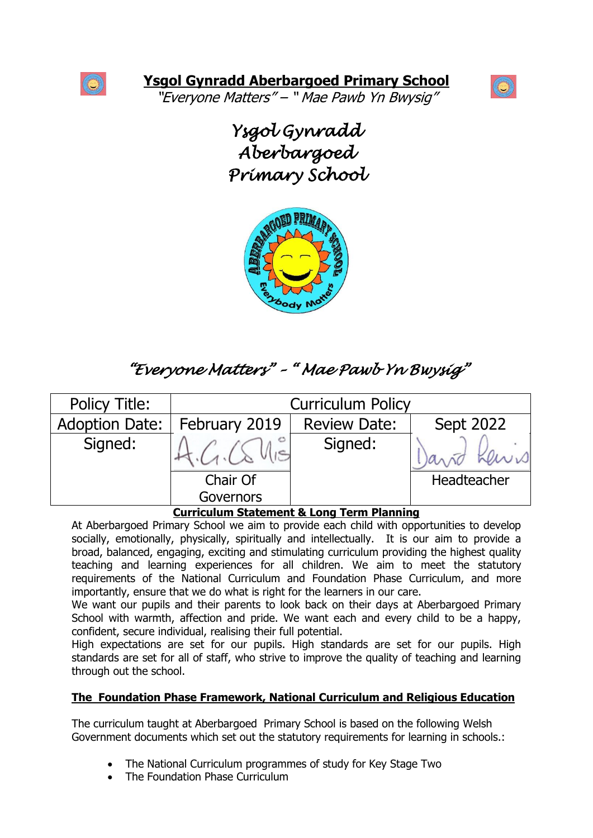

"Everyone Matters" – " Mae Pawb Yn Bwysig"



*Ysgol Gynradd Aberbargoed Primary School* 



# *"Everyone Matters" – " Mae Pawb Yn Bwysig"*

| <b>Policy Title:</b>  | <b>Curriculum Policy</b>                                       |                     |                          |
|-----------------------|----------------------------------------------------------------|---------------------|--------------------------|
| <b>Adoption Date:</b> | February 2019                                                  | <b>Review Date:</b> | Sept 2022                |
| Signed:               |                                                                | Signed:             | Kews<br>$a_{\Lambda}$ ñd |
|                       | Chair Of                                                       |                     | Headteacher              |
|                       | <b>Governors</b><br>Curriculum Statement 8. Long Term Dianning |                     |                          |

### **Curriculum Statement & Long Term Planning**

At Aberbargoed Primary School we aim to provide each child with opportunities to develop socially, emotionally, physically, spiritually and intellectually. It is our aim to provide a broad, balanced, engaging, exciting and stimulating curriculum providing the highest quality teaching and learning experiences for all children. We aim to meet the statutory requirements of the National Curriculum and Foundation Phase Curriculum, and more importantly, ensure that we do what is right for the learners in our care.

We want our pupils and their parents to look back on their days at Aberbargoed Primary School with warmth, affection and pride. We want each and every child to be a happy, confident, secure individual, realising their full potential.

High expectations are set for our pupils. High standards are set for our pupils. High standards are set for all of staff, who strive to improve the quality of teaching and learning through out the school.

# **The Foundation Phase Framework, National Curriculum and Religious Education**

The curriculum taught at Aberbargoed Primary School is based on the following Welsh Government documents which set out the statutory requirements for learning in schools.:

- The National Curriculum programmes of study for Key Stage Two
- The Foundation Phase Curriculum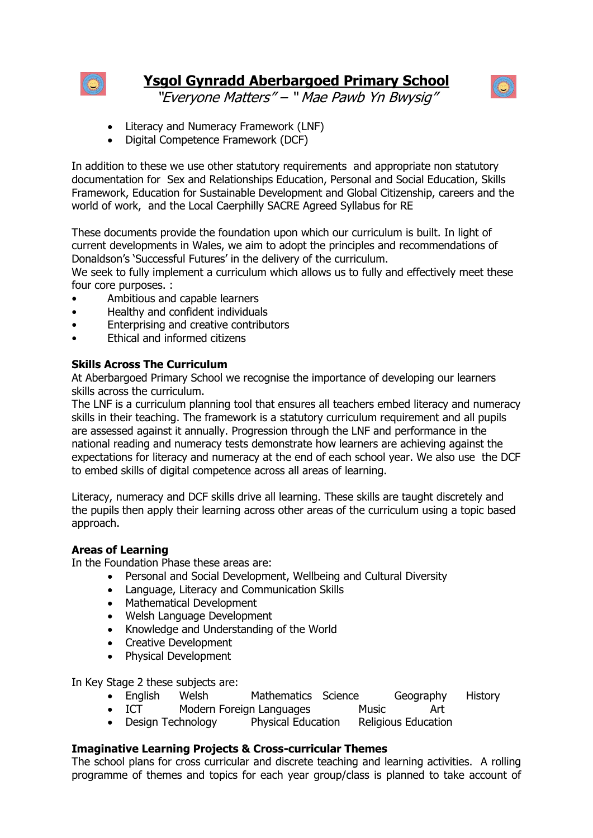



"Everyone Matters" – " Mae Pawb Yn Bwysig"

- Literacy and Numeracy Framework (LNF)
- Digital Competence Framework (DCF)

In addition to these we use other statutory requirements and appropriate non statutory documentation for Sex and Relationships Education, Personal and Social Education, Skills Framework, Education for Sustainable Development and Global Citizenship, careers and the world of work, and the Local Caerphilly SACRE Agreed Syllabus for RE

These documents provide the foundation upon which our curriculum is built. In light of current developments in Wales, we aim to adopt the principles and recommendations of Donaldson's 'Successful Futures' in the delivery of the curriculum.

We seek to fully implement a curriculum which allows us to fully and effectively meet these four core purposes. :

- Ambitious and capable learners
- Healthy and confident individuals
- Enterprising and creative contributors
- Ethical and informed citizens

## **Skills Across The Curriculum**

At Aberbargoed Primary School we recognise the importance of developing our learners skills across the curriculum.

The LNF is a curriculum planning tool that ensures all teachers embed literacy and numeracy skills in their teaching. The framework is a statutory curriculum requirement and all pupils are assessed against it annually. Progression through the LNF and performance in the national reading and numeracy tests demonstrate how learners are achieving against the expectations for literacy and numeracy at the end of each school year. We also use the DCF to embed skills of digital competence across all areas of learning.

Literacy, numeracy and DCF skills drive all learning. These skills are taught discretely and the pupils then apply their learning across other areas of the curriculum using a topic based approach.

### **Areas of Learning**

In the Foundation Phase these areas are:

- Personal and Social Development, Wellbeing and Cultural Diversity
- Language, Literacy and Communication Skills
- Mathematical Development
- Welsh Language Development
- Knowledge and Understanding of the World
- Creative Development
- Physical Development

In Key Stage 2 these subjects are:

- English Welsh Mathematics Science Geography History
	- ICT Modern Foreign Languages Music Art
- Design Technology Physical Education Religious Education

### **Imaginative Learning Projects & Cross-curricular Themes**

The school plans for cross curricular and discrete teaching and learning activities. A rolling programme of themes and topics for each year group/class is planned to take account of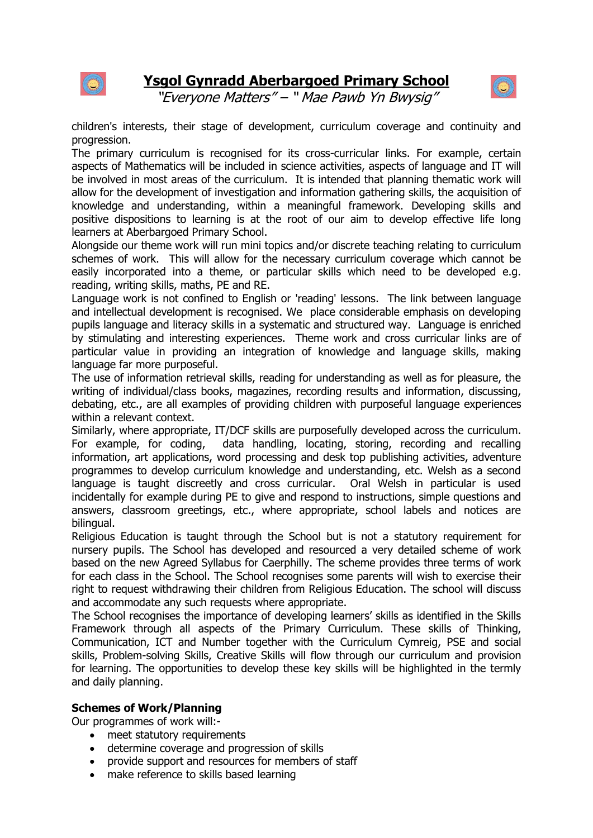



"Everyone Matters" – " Mae Pawb Yn Bwysig"

children's interests, their stage of development, curriculum coverage and continuity and progression.

The primary curriculum is recognised for its cross-curricular links. For example, certain aspects of Mathematics will be included in science activities, aspects of language and IT will be involved in most areas of the curriculum. It is intended that planning thematic work will allow for the development of investigation and information gathering skills, the acquisition of knowledge and understanding, within a meaningful framework. Developing skills and positive dispositions to learning is at the root of our aim to develop effective life long learners at Aberbargoed Primary School.

Alongside our theme work will run mini topics and/or discrete teaching relating to curriculum schemes of work. This will allow for the necessary curriculum coverage which cannot be easily incorporated into a theme, or particular skills which need to be developed e.g. reading, writing skills, maths, PE and RE.

Language work is not confined to English or 'reading' lessons. The link between language and intellectual development is recognised. We place considerable emphasis on developing pupils language and literacy skills in a systematic and structured way. Language is enriched by stimulating and interesting experiences. Theme work and cross curricular links are of particular value in providing an integration of knowledge and language skills, making language far more purposeful.

The use of information retrieval skills, reading for understanding as well as for pleasure, the writing of individual/class books, magazines, recording results and information, discussing, debating, etc., are all examples of providing children with purposeful language experiences within a relevant context.

Similarly, where appropriate, IT/DCF skills are purposefully developed across the curriculum. For example, for coding, data handling, locating, storing, recording and recalling information, art applications, word processing and desk top publishing activities, adventure programmes to develop curriculum knowledge and understanding, etc. Welsh as a second language is taught discreetly and cross curricular. Oral Welsh in particular is used incidentally for example during PE to give and respond to instructions, simple questions and answers, classroom greetings, etc., where appropriate, school labels and notices are bilingual.

Religious Education is taught through the School but is not a statutory requirement for nursery pupils. The School has developed and resourced a very detailed scheme of work based on the new Agreed Syllabus for Caerphilly. The scheme provides three terms of work for each class in the School. The School recognises some parents will wish to exercise their right to request withdrawing their children from Religious Education. The school will discuss and accommodate any such requests where appropriate.

The School recognises the importance of developing learners' skills as identified in the Skills Framework through all aspects of the Primary Curriculum. These skills of Thinking, Communication, ICT and Number together with the Curriculum Cymreig, PSE and social skills, Problem-solving Skills, Creative Skills will flow through our curriculum and provision for learning. The opportunities to develop these key skills will be highlighted in the termly and daily planning.

### **Schemes of Work/Planning**

Our programmes of work will:-

- meet statutory requirements
- determine coverage and progression of skills
- provide support and resources for members of staff
- make reference to skills based learning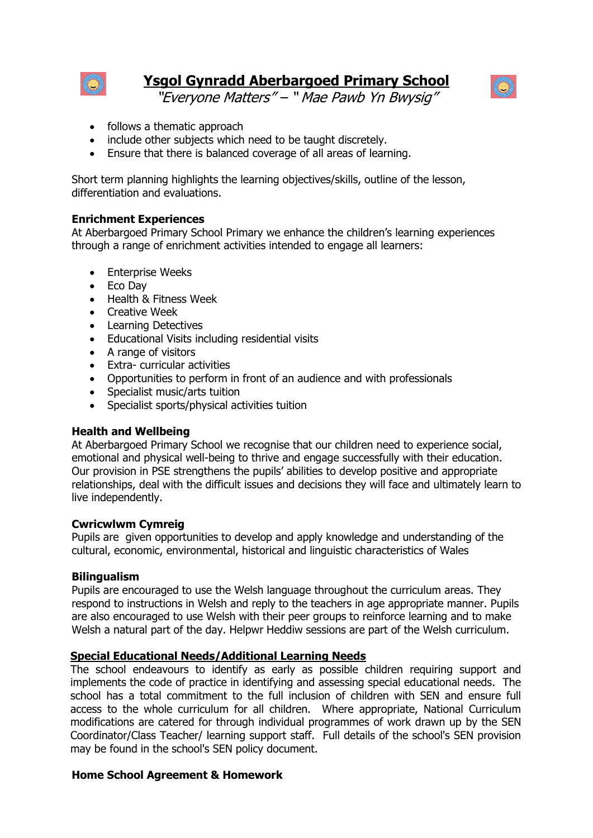



"Everyone Matters" – " Mae Pawb Yn Bwysig"

- follows a thematic approach
- include other subjects which need to be taught discretely.
- Ensure that there is balanced coverage of all areas of learning.

Short term planning highlights the learning objectives/skills, outline of the lesson, differentiation and evaluations.

### **Enrichment Experiences**

At Aberbargoed Primary School Primary we enhance the children's learning experiences through a range of enrichment activities intended to engage all learners:

- Enterprise Weeks
- Eco Dav
- Health & Fitness Week
- Creative Week
- Learning Detectives
- Educational Visits including residential visits
- A range of visitors
- Extra- curricular activities
- Opportunities to perform in front of an audience and with professionals
- Specialist music/arts tuition
- Specialist sports/physical activities tuition

### **Health and Wellbeing**

At Aberbargoed Primary School we recognise that our children need to experience social, emotional and physical well-being to thrive and engage successfully with their education. Our provision in PSE strengthens the pupils' abilities to develop positive and appropriate relationships, deal with the difficult issues and decisions they will face and ultimately learn to live independently.

#### **Cwricwlwm Cymreig**

Pupils are given opportunities to develop and apply knowledge and understanding of the cultural, economic, environmental, historical and linguistic characteristics of Wales

#### **Bilingualism**

Pupils are encouraged to use the Welsh language throughout the curriculum areas. They respond to instructions in Welsh and reply to the teachers in age appropriate manner. Pupils are also encouraged to use Welsh with their peer groups to reinforce learning and to make Welsh a natural part of the day. Helpwr Heddiw sessions are part of the Welsh curriculum.

#### **Special Educational Needs/Additional Learning Needs**

The school endeavours to identify as early as possible children requiring support and implements the code of practice in identifying and assessing special educational needs. The school has a total commitment to the full inclusion of children with SEN and ensure full access to the whole curriculum for all children. Where appropriate, National Curriculum modifications are catered for through individual programmes of work drawn up by the SEN Coordinator/Class Teacher/ learning support staff. Full details of the school's SEN provision may be found in the school's SEN policy document.

### **Home School Agreement & Homework**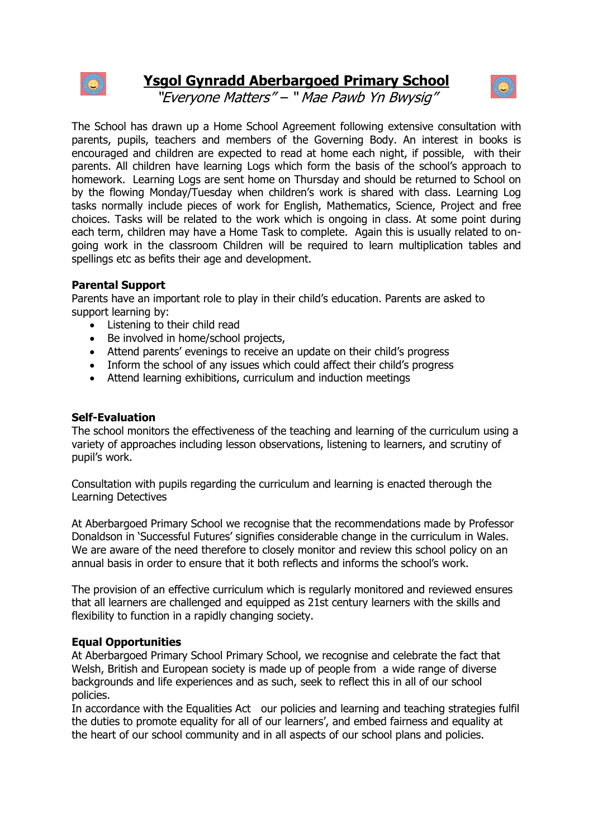



"Everyone Matters" – " Mae Pawb Yn Bwysig"

The School has drawn up a Home School Agreement following extensive consultation with parents, pupils, teachers and members of the Governing Body. An interest in books is encouraged and children are expected to read at home each night, if possible, with their parents. All children have learning Logs which form the basis of the school's approach to homework. Learning Logs are sent home on Thursday and should be returned to School on by the flowing Monday/Tuesday when children's work is shared with class. Learning Log tasks normally include pieces of work for English, Mathematics, Science, Project and free choices. Tasks will be related to the work which is ongoing in class. At some point during each term, children may have a Home Task to complete. Again this is usually related to ongoing work in the classroom Children will be required to learn multiplication tables and spellings etc as befits their age and development.

#### **Parental Support**

Parents have an important role to play in their child's education. Parents are asked to support learning by:

- Listening to their child read
- Be involved in home/school projects,
- Attend parents' evenings to receive an update on their child's progress
- Inform the school of any issues which could affect their child's progress
- Attend learning exhibitions, curriculum and induction meetings

#### **Self-Evaluation**

The school monitors the effectiveness of the teaching and learning of the curriculum using a variety of approaches including lesson observations, listening to learners, and scrutiny of pupil's work.

Consultation with pupils regarding the curriculum and learning is enacted therough the Learning Detectives

At Aberbargoed Primary School we recognise that the recommendations made by Professor Donaldson in 'Successful Futures' signifies considerable change in the curriculum in Wales. We are aware of the need therefore to closely monitor and review this school policy on an annual basis in order to ensure that it both reflects and informs the school's work.

The provision of an effective curriculum which is regularly monitored and reviewed ensures that all learners are challenged and equipped as 21st century learners with the skills and flexibility to function in a rapidly changing society.

#### **Equal Opportunities**

At Aberbargoed Primary School Primary School, we recognise and celebrate the fact that Welsh, British and European society is made up of people from a wide range of diverse backgrounds and life experiences and as such, seek to reflect this in all of our school policies.

In accordance with the Equalities Act our policies and learning and teaching strategies fulfil the duties to promote equality for all of our learners', and embed fairness and equality at the heart of our school community and in all aspects of our school plans and policies.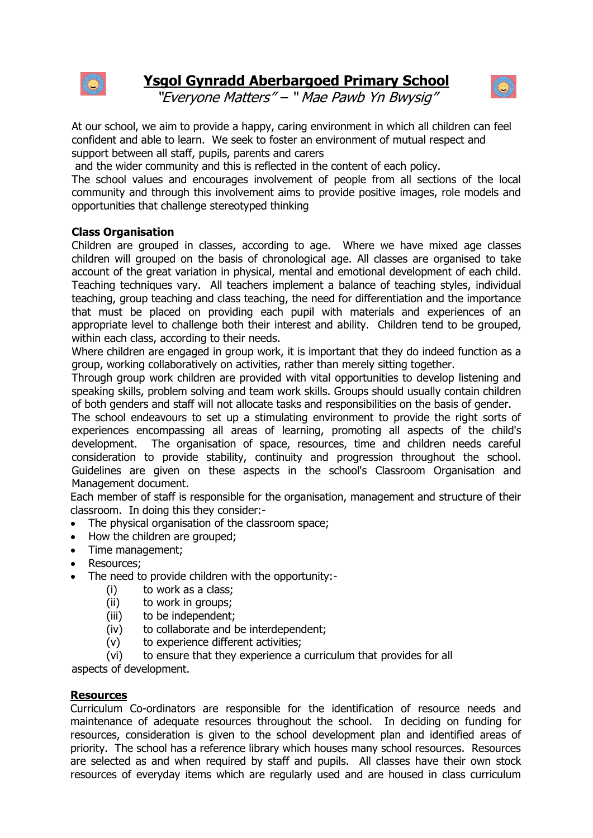



"Everyone Matters" – " Mae Pawb Yn Bwysig"

At our school, we aim to provide a happy, caring environment in which all children can feel confident and able to learn. We seek to foster an environment of mutual respect and support between all staff, pupils, parents and carers

and the wider community and this is reflected in the content of each policy.

The school values and encourages involvement of people from all sections of the local community and through this involvement aims to provide positive images, role models and opportunities that challenge stereotyped thinking

#### **Class Organisation**

Children are grouped in classes, according to age. Where we have mixed age classes children will grouped on the basis of chronological age. All classes are organised to take account of the great variation in physical, mental and emotional development of each child. Teaching techniques vary. All teachers implement a balance of teaching styles, individual teaching, group teaching and class teaching, the need for differentiation and the importance that must be placed on providing each pupil with materials and experiences of an appropriate level to challenge both their interest and ability. Children tend to be grouped, within each class, according to their needs.

Where children are engaged in group work, it is important that they do indeed function as a group, working collaboratively on activities, rather than merely sitting together.

Through group work children are provided with vital opportunities to develop listening and speaking skills, problem solving and team work skills. Groups should usually contain children of both genders and staff will not allocate tasks and responsibilities on the basis of gender.

The school endeavours to set up a stimulating environment to provide the right sorts of experiences encompassing all areas of learning, promoting all aspects of the child's development. The organisation of space, resources, time and children needs careful consideration to provide stability, continuity and progression throughout the school. Guidelines are given on these aspects in the school's Classroom Organisation and Management document.

Each member of staff is responsible for the organisation, management and structure of their classroom. In doing this they consider:-

- The physical organisation of the classroom space;
- How the children are grouped;
- Time management;
- Resources:
- The need to provide children with the opportunity:-
	- (i) to work as a class;
	- (ii) to work in groups;
	- (iii) to be independent;
	- (iv) to collaborate and be interdependent;
	- (v) to experience different activities;
	- (vi) to ensure that they experience a curriculum that provides for all

aspects of development.

#### **Resources**

Curriculum Co-ordinators are responsible for the identification of resource needs and maintenance of adequate resources throughout the school. In deciding on funding for resources, consideration is given to the school development plan and identified areas of priority. The school has a reference library which houses many school resources. Resources are selected as and when required by staff and pupils. All classes have their own stock resources of everyday items which are regularly used and are housed in class curriculum